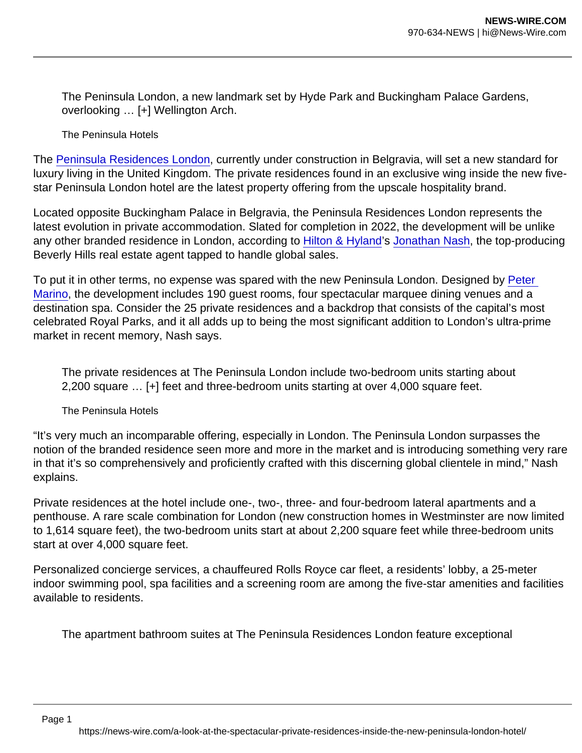The Peninsula London, a new landmark set by Hyde Park and Buckingham Palace Gardens, overlooking … [+] Wellington Arch.

The Peninsula Hotels

The [Peninsula Residences London](https://www.forbesglobalproperties.com/listings/the-peninsula-residences-london/), currently under construction in Belgravia, will set a new standard for luxury living in the United Kingdom. The private residences found in an exclusive wing inside the new fivestar Peninsula London hotel are the latest property offering from the upscale hospitality brand.

Located opposite Buckingham Palace in Belgravia, the Peninsula Residences London represents the latest evolution in private accommodation. Slated for completion in 2022, the development will be unlike any other branded residence in London, according to [Hilton & Hyland'](https://www.forbesglobalproperties.com/members/hilton-hyland/)s [Jonathan Nash,](https://www.forbesglobalproperties.com/agents/jonathan-nash/) the top-producing Beverly Hills real estate agent tapped to handle global sales.

To put it in other terms, no expense was spared with the new Peninsula London. Designed by [Peter](https://www.petermarinoarchitect.com/)  [Marino,](https://www.petermarinoarchitect.com/) the development includes 190 guest rooms, four spectacular marquee dining venues and a destination spa. Consider the 25 private residences and a backdrop that consists of the capital's most celebrated Royal Parks, and it all adds up to being the most significant addition to London's ultra-prime market in recent memory, Nash says.

The private residences at The Peninsula London include two-bedroom units starting about 2,200 square … [+] feet and three-bedroom units starting at over 4,000 square feet.

The Peninsula Hotels

"It's very much an incomparable offering, especially in London. The Peninsula London surpasses the notion of the branded residence seen more and more in the market and is introducing something very rare in that it's so comprehensively and proficiently crafted with this discerning global clientele in mind," Nash explains.

Private residences at the hotel include one-, two-, three- and four-bedroom lateral apartments and a penthouse. A rare scale combination for London (new construction homes in Westminster are now limited to 1,614 square feet), the two-bedroom units start at about 2,200 square feet while three-bedroom units start at over 4,000 square feet.

Personalized concierge services, a chauffeured Rolls Royce car fleet, a residents' lobby, a 25-meter indoor swimming pool, spa facilities and a screening room are among the five-star amenities and facilities available to residents.

The apartment bathroom suites at The Peninsula Residences London feature exceptional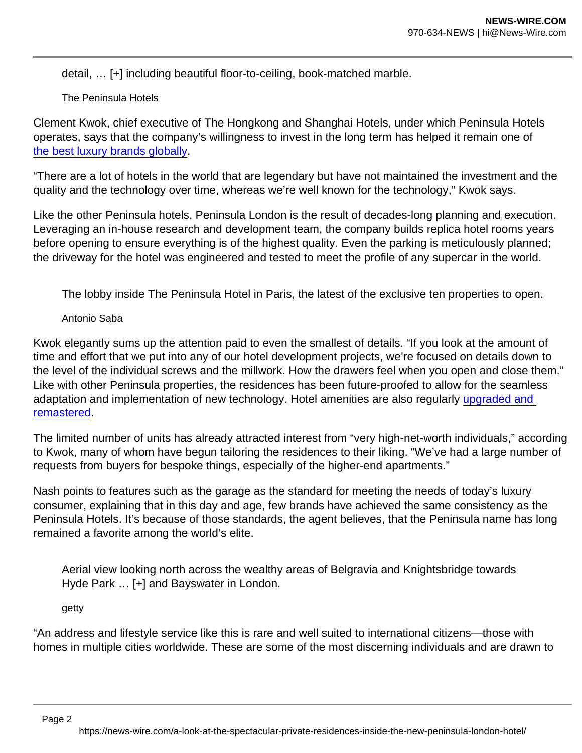detail, … [+] including beautiful floor-to-ceiling, book-matched marble.

The Peninsula Hotels

Clement Kwok, chief executive of The Hongkong and Shanghai Hotels, under which Peninsula Hotels operates, says that the company's willingness to invest in the long term has helped it remain one of [the best luxury brands globally](https://www.forbes.com/sites/douggollan/2015/06/23/as-its-parent-turns-150-years-old-peninsula-hotels-continues-down-the-road-less-traveled/?sh=63efb771343d).

"There are a lot of hotels in the world that are legendary but have not maintained the investment and the quality and the technology over time, whereas we're well known for the technology," Kwok says.

Like the other Peninsula hotels, Peninsula London is the result of decades-long planning and execution. Leveraging an in-house research and development team, the company builds replica hotel rooms years before opening to ensure everything is of the highest quality. Even the parking is meticulously planned; the driveway for the hotel was engineered and tested to meet the profile of any supercar in the world.

The lobby inside The Peninsula Hotel in Paris, the latest of the exclusive ten properties to open.

Antonio Saba

Kwok elegantly sums up the attention paid to even the smallest of details. "If you look at the amount of time and effort that we put into any of our hotel development projects, we're focused on details down to the level of the individual screws and the millwork. How the drawers feel when you open and close them." Like with other Peninsula properties, the residences has been future-proofed to allow for the seamless adaptation and implementation of new technology. Hotel amenities are also regularly [upgraded and](https://www.forbes.com/sites/angelinavillaclarke/2020/11/18/smells-like-innovation-how-the-peninsula-hotels-is-reinventing-its-in-house-beauty-products/?sh=b6f90824508c)  [remastered.](https://www.forbes.com/sites/angelinavillaclarke/2020/11/18/smells-like-innovation-how-the-peninsula-hotels-is-reinventing-its-in-house-beauty-products/?sh=b6f90824508c)

The limited number of units has already attracted interest from "very high-net-worth individuals," according to Kwok, many of whom have begun tailoring the residences to their liking. "We've had a large number of requests from buyers for bespoke things, especially of the higher-end apartments."

Nash points to features such as the garage as the standard for meeting the needs of today's luxury consumer, explaining that in this day and age, few brands have achieved the same consistency as the Peninsula Hotels. It's because of those standards, the agent believes, that the Peninsula name has long remained a favorite among the world's elite.

Aerial view looking north across the wealthy areas of Belgravia and Knightsbridge towards Hyde Park … [+] and Bayswater in London.

getty

"An address and lifestyle service like this is rare and well suited to international citizens—those with homes in multiple cities worldwide. These are some of the most discerning individuals and are drawn to